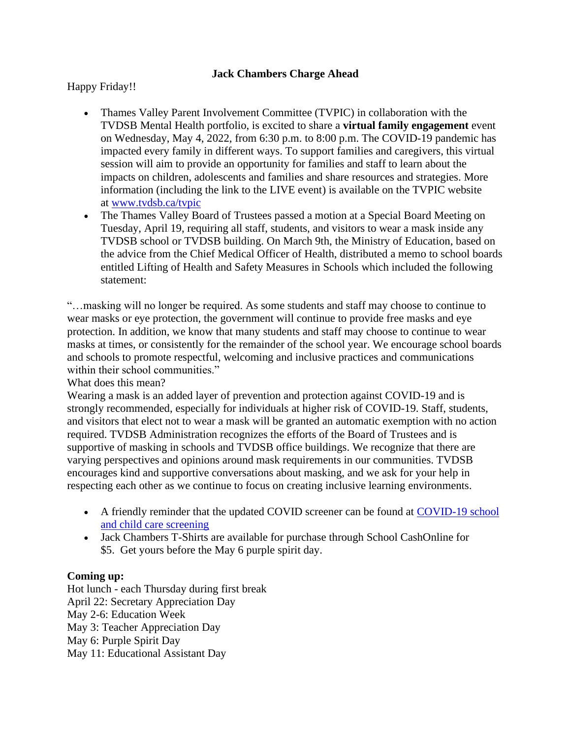## **Jack Chambers Charge Ahead**

Happy Friday!!

- Thames Valley Parent Involvement Committee (TVPIC) in collaboration with the TVDSB Mental Health portfolio, is excited to share a **virtual family engagement** event on Wednesday, May 4, 2022, from 6:30 p.m. to 8:00 p.m. The COVID-19 pandemic has impacted every family in different ways. To support families and caregivers, this virtual session will aim to provide an opportunity for families and staff to learn about the impacts on children, adolescents and families and share resources and strategies. More information (including the link to the LIVE event) is available on the TVPIC website at [www.tvdsb.ca/tvpic](http://www.tvdsb.ca/tvpic)
- The Thames Valley Board of Trustees passed a motion at a Special Board Meeting on Tuesday, April 19, requiring all staff, students, and visitors to wear a mask inside any TVDSB school or TVDSB building. On March 9th, the Ministry of Education, based on the advice from the Chief Medical Officer of Health, distributed a memo to school boards entitled Lifting of Health and Safety Measures in Schools which included the following statement:

"…masking will no longer be required. As some students and staff may choose to continue to wear masks or eye protection, the government will continue to provide free masks and eye protection. In addition, we know that many students and staff may choose to continue to wear masks at times, or consistently for the remainder of the school year. We encourage school boards and schools to promote respectful, welcoming and inclusive practices and communications within their school communities."

What does this mean?

Wearing a mask is an added layer of prevention and protection against COVID-19 and is strongly recommended, especially for individuals at higher risk of COVID-19. Staff, students, and visitors that elect not to wear a mask will be granted an automatic exemption with no action required. TVDSB Administration recognizes the efforts of the Board of Trustees and is supportive of masking in schools and TVDSB office buildings. We recognize that there are varying perspectives and opinions around mask requirements in our communities. TVDSB encourages kind and supportive conversations about masking, and we ask for your help in respecting each other as we continue to focus on creating inclusive learning environments.

- A friendly reminder that the updated COVID screener can be found at [COVID-19](https://covid-19.ontario.ca/school-screening/) school and child care [screening](https://covid-19.ontario.ca/school-screening/)
- Jack Chambers T-Shirts are available for purchase through School CashOnline for \$5. Get yours before the May 6 purple spirit day.

## **Coming up:**

Hot lunch - each Thursday during first break April 22: Secretary Appreciation Day May 2-6: Education Week May 3: Teacher Appreciation Day May 6: Purple Spirit Day May 11: Educational Assistant Day